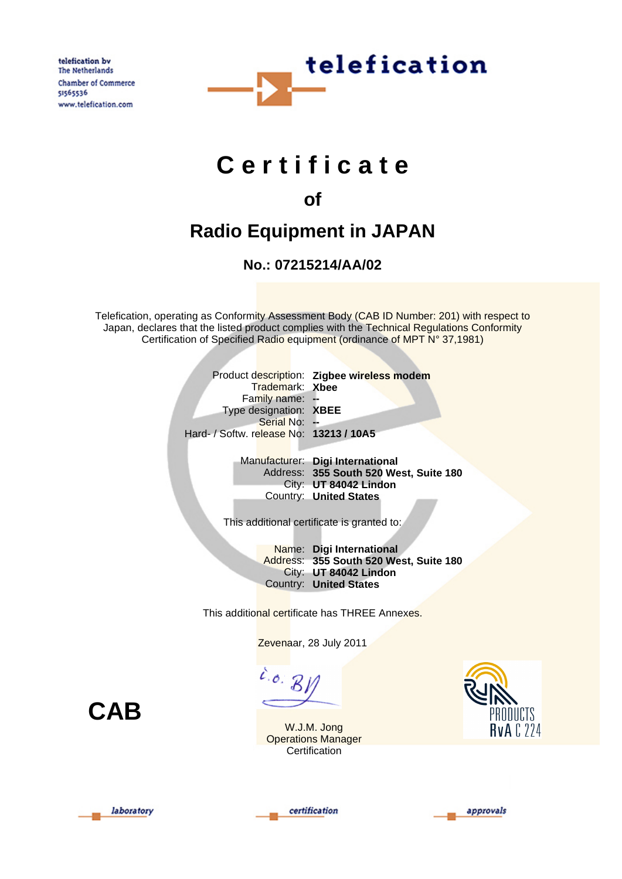telefication by The Netherlands Chamber of Commerce 51565536 www.telefication.com



# **C e r t i f i c a t e**

## **of**

## **Radio Equipment in JAPAN**

### **No.: 07215214/AA/02**

Telefication, operating as Conformity Assessment Body (CAB ID Number: 201) with respect to Japan, declares that the listed product complies with the Technical Regulations Conformity Certification of Specified Radio equipment (ordinance of MPT N° 37,1981)

|                                         |                 | Product description: Zigbee wireless modem |
|-----------------------------------------|-----------------|--------------------------------------------|
|                                         | Trademark: Xbee |                                            |
| Family name: -                          |                 |                                            |
| Type designation: XBEE                  |                 |                                            |
| Serial No: --                           |                 |                                            |
| Hard- / Softw. release No: 13213 / 10A5 |                 |                                            |
|                                         |                 |                                            |

Manufacturer: **Digi International** Address: **355 South 520 West, Suite 180** City: **UT 84042 Lindon** Country: **United States**

This additional certificate is granted to:

Name: **Digi International** Address: **355 South 520 West, Suite 180** City: **UT 84042 Lindon** Country: **United States**

This additional certificate has THREE Annexes.

Zevenaar, 28 July 2011

 $\overline{c}$ .o.  $\overline{B}$ 

**CAB**









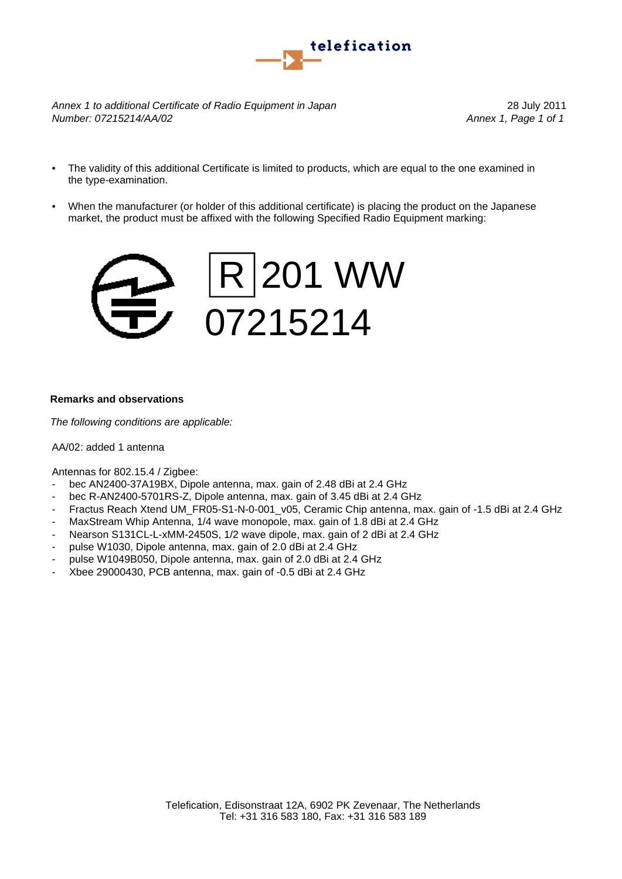

*Annex 1 to additional Certificate of Radio Equipment in Japan* 28 July 2011 *Number: 07215214/AA/02 Annex 1, Page 1 of 1*

- The validity of this additional Certificate is limited to products, which are equal to the one examined in the type-examination.
- When the manufacturer (or holder of this additional certificate) is placing the product on the Japanese market, the product must be affixed with the following Specified Radio Equipment marking:



#### **Remarks and observations**

*The following conditions are applicable:*

#### AA/02: added 1 antenna

Antennas for 802.15.4 / Zigbee:

- bec AN2400-37A19BX, Dipole antenna, max. gain of 2.48 dBi at 2.4 GHz
- bec R-AN2400-5701RS-Z, Dipole antenna, max. gain of 3.45 dBi at 2.4 GHz
- Fractus Reach Xtend UM\_FR05-S1-N-0-001\_v05, Ceramic Chip antenna, max. gain of -1.5 dBi at 2.4 GHz
- MaxStream Whip Antenna, 1/4 wave monopole, max. gain of 1.8 dBi at 2.4 GHz
- Nearson S131CL-L-xMM-2450S, 1/2 wave dipole, max. gain of 2 dBi at 2.4 GHz
- pulse W1030, Dipole antenna, max. gain of 2.0 dBi at 2.4 GHz
- pulse W1049B050, Dipole antenna, max. gain of 2.0 dBi at 2.4 GHz
- Xbee 29000430, PCB antenna, max. gain of -0.5 dBi at 2.4 GHz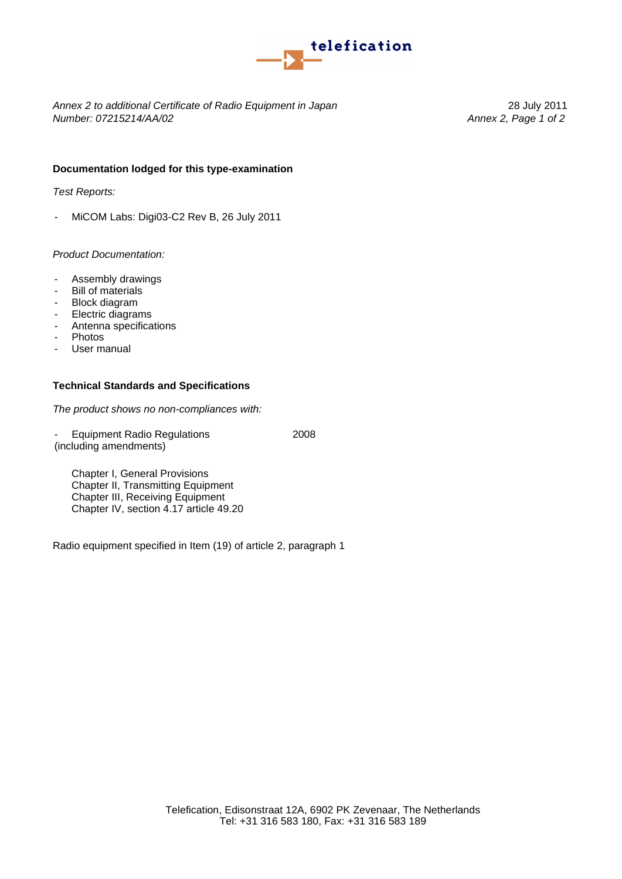

*Annex 2 to additional Certificate of Radio Equipment in Japan* 28 July 2011 *Number: 07215214/AA/02 Annex 2, Page 1 of 2*

#### **Documentation lodged for this type-examination**

*Test Reports:*

- MiCOM Labs: Digi03-C2 Rev B, 26 July 2011

#### *Product Documentation:*

- Assembly drawings
- Bill of materials
- Block diagram
- Electric diagrams
- Antenna specifications
- Photos
- User manual

#### **Technical Standards and Specifications**

*The product shows no non-compliances with:*

(including amendments) Equipment Radio Regulations 2008

Chapter I, General Provisions Chapter II, Transmitting Equipment Chapter III, Receiving Equipment Chapter IV, section 4.17 article 49.20

Radio equipment specified in Item (19) of article 2, paragraph 1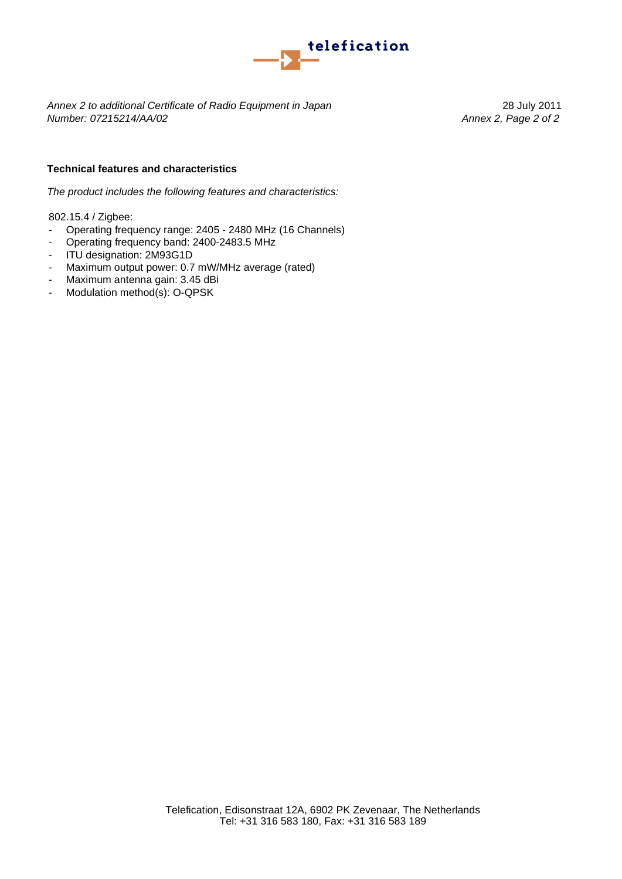

*Annex 2 to additional Certificate of Radio Equipment in Japan* 28 July 2011 *Number: 07215214/AA/02 Annex 2, Page 2 of 2*

#### **Technical features and characteristics**

*The product includes the following features and characteristics:*

802.15.4 / Zigbee:

- Operating frequency range: 2405 2480 MHz (16 Channels)
- Operating frequency band: 2400-2483.5 MHz
- ITU designation: 2M93G1D
- Maximum output power: 0.7 mW/MHz average (rated)
- Maximum antenna gain: 3.45 dBi
- Modulation method(s): O-QPSK